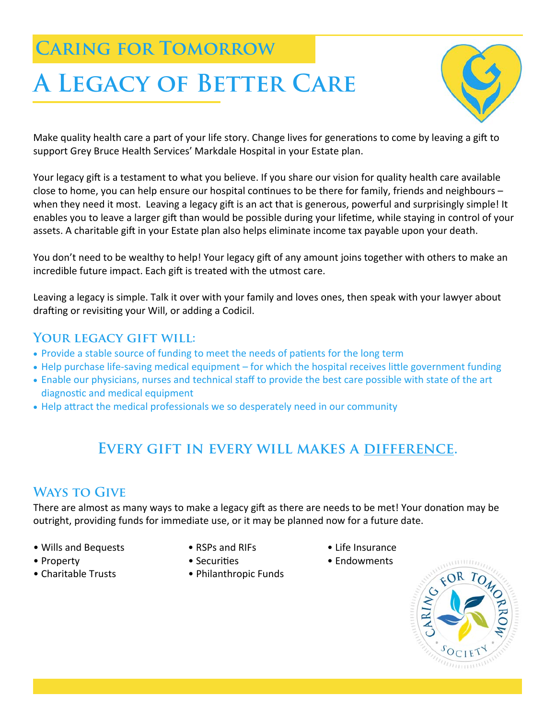## **Caring for Tomorrow**

# **A Legacy of Better Care**



Make quality health care a part of your life story. Change lives for generations to come by leaving a gift to support Grey Bruce Health Services' Markdale Hospital in your Estate plan.

Your legacy gift is a testament to what you believe. If you share our vision for quality health care available close to home, you can help ensure our hospital continues to be there for family, friends and neighbours – when they need it most. Leaving a legacy gift is an act that is generous, powerful and surprisingly simple! It enables you to leave a larger gift than would be possible during your lifetime, while staying in control of your assets. A charitable gift in your Estate plan also helps eliminate income tax payable upon your death.

You don't need to be wealthy to help! Your legacy gift of any amount joins together with others to make an incredible future impact. Each gift is treated with the utmost care.

Leaving a legacy is simple. Talk it over with your family and loves ones, then speak with your lawyer about drafting or revisiting your Will, or adding a Codicil.

#### **Your legacy gift will:**

- Provide a stable source of funding to meet the needs of patients for the long term
- Help purchase life-saving medical equipment for which the hospital receives little government funding
- Enable our physicians, nurses and technical staff to provide the best care possible with state of the art diagnostic and medical equipment
- Help attract the medical professionals we so desperately need in our community

### **Every gift in every will makes a difference.**

#### **Ways to Give**

There are almost as many ways to make a legacy gift as there are needs to be met! Your donation may be outright, providing funds for immediate use, or it may be planned now for a future date.

- Wills and Bequests RSPs and RIFs Life Insurance
- 
- 
- 
- 
- Charitable Trusts Philanthropic Funds
- 
- Property SecuriƟes Endowments